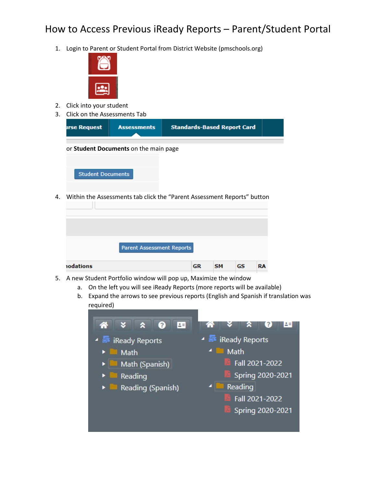## How to Access Previous iReady Reports – Parent/Student Portal

1. Login to Parent or Student Portal from District Website (pmschools.org)



- 2. Click into your student
- 3. Click on the Assessments Tab

required)

**nodations** 

| <b>irse Request</b>      | <b>Assessments</b>                    | <b>Standards-Based Report Card</b>                                      |
|--------------------------|---------------------------------------|-------------------------------------------------------------------------|
|                          | or Student Documents on the main page |                                                                         |
| <b>Student Documents</b> |                                       |                                                                         |
|                          |                                       | Within the Assessments tab click the "Parent Assessment Reports" button |
|                          |                                       |                                                                         |
|                          | <b>Parent Assessment Reports</b>      |                                                                         |

## 5. A new Student Portfolio window will pop up, Maximize the window

- - a. On the left you will see iReady Reports (more reports will be available) b. Expand the arrows to see previous reports (English and Spanish if translation was

**GR** 

SM

GS

**RA** 

 $\bullet$ 四 3  $2E$ Ready Reports **iReady Reports** Math Math Fall 2021-2022 Math (Spanish) Spring 2020-2021 Reading Reading Reading (Spanish) 4 Fall 2021-2022 Spring 2020-2021